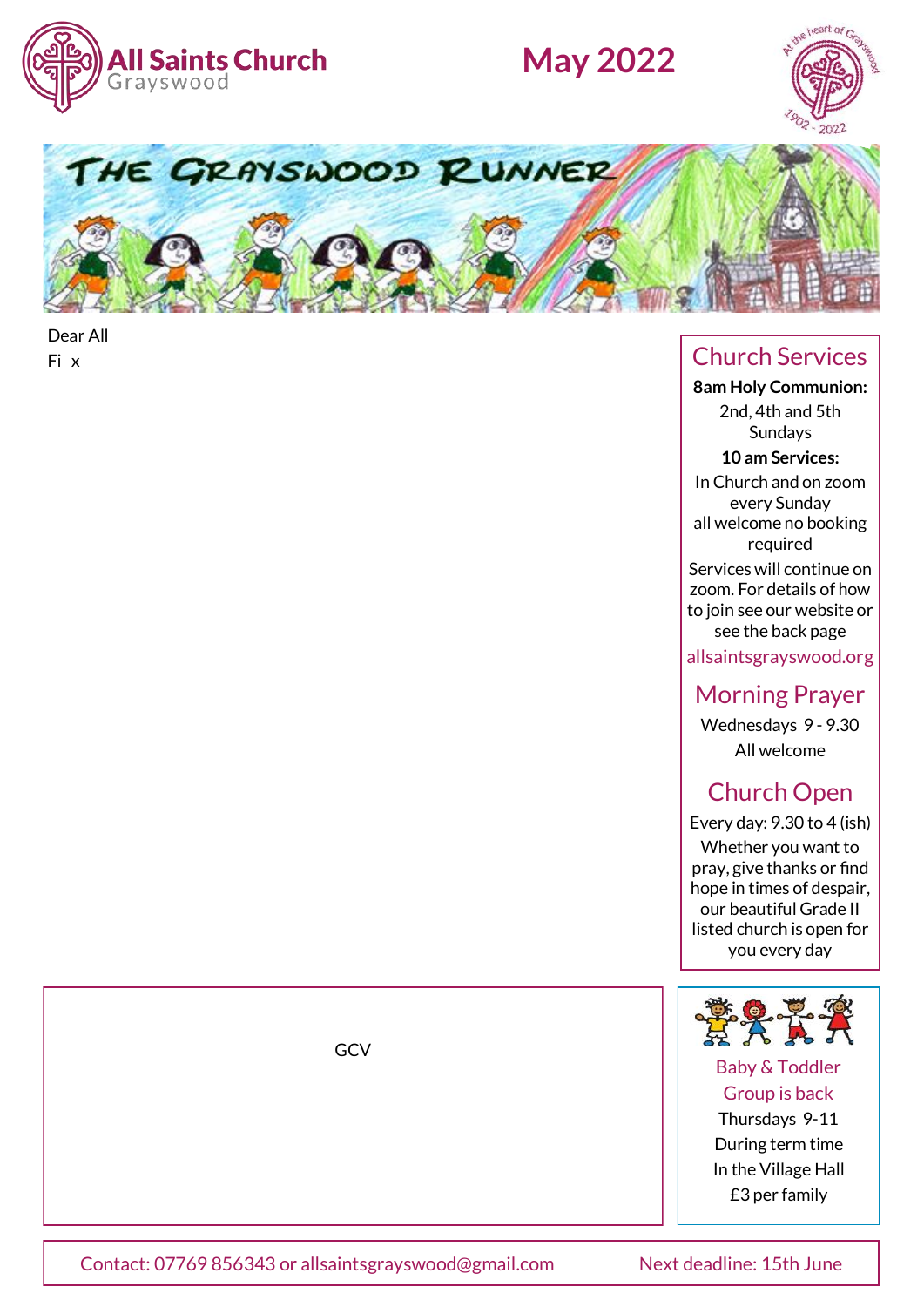

# **May 2022**





Dear All

### Fi x Church Services

**8am Holy Communion:**  2nd, 4th and 5th Sundays

**10 am Services:** 

In Church and on zoom every Sunday all welcome no booking

required Services will continue on zoom. For details of how to join see our website or see the back page

allsaintsgrayswood.org

### Morning Prayer

Wednesdays 9 - 9.30 All welcome

### Church Open

Every day: 9.30 to 4 (ish) Whether you want to pray, give thanks or find hope in times of despair, our beautiful Grade II listed church is open for you every day



#### Baby & Toddler Group is back

Thursdays 9-11 During term time In the Village Hall £3 per family

GCV

Contact: 07769 856343 or allsaintsgrayswood@gmail.com Next deadline: 15th June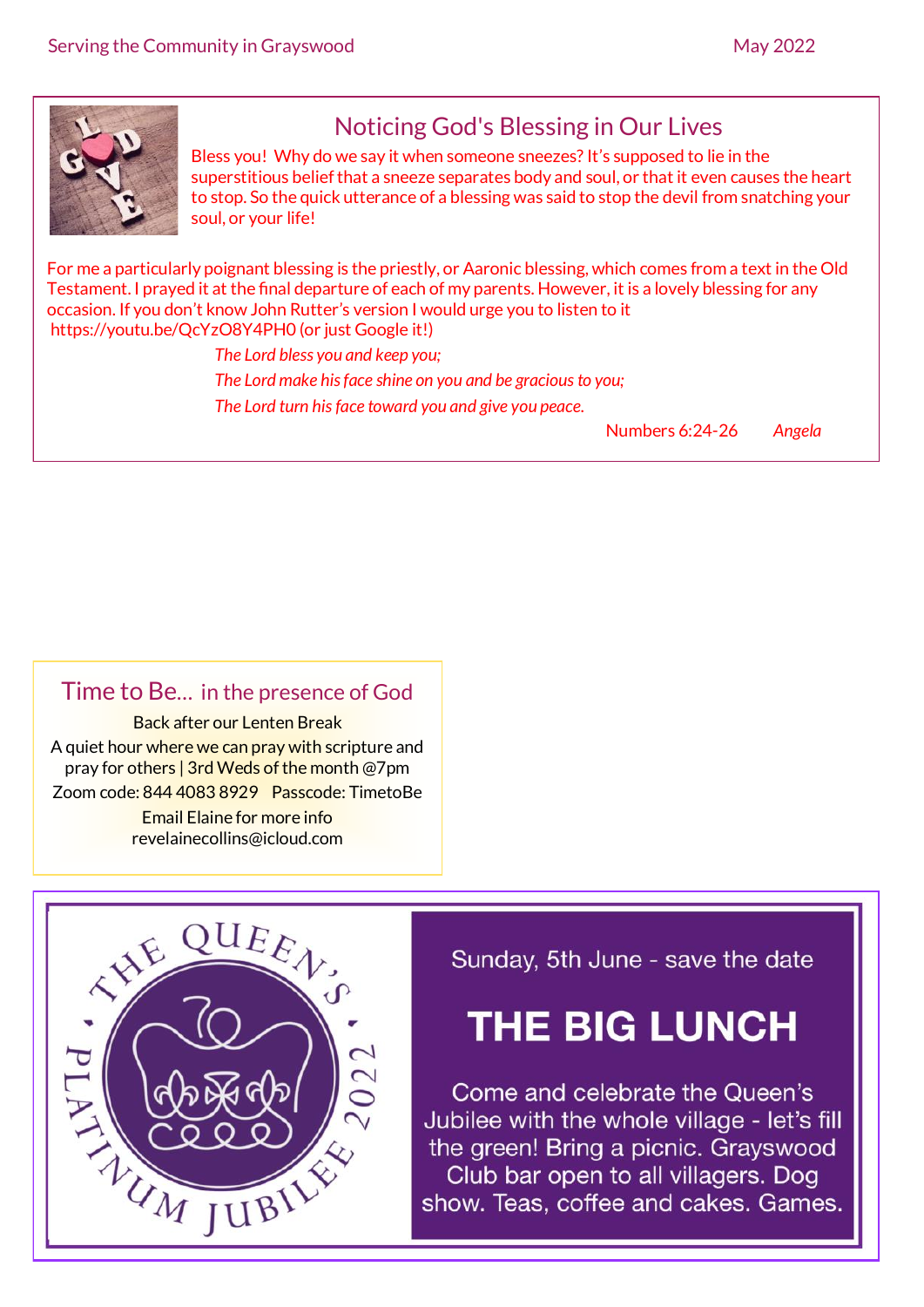

# Noticing God's Blessing in Our Lives

Bless you! Why do we say it when someone sneezes? It's supposed to lie in the superstitious belief that a sneeze separates body and soul, or that it even causes the heart to stop. So the quick utterance of a blessing was said to stop the devil from snatching your soul, or your life!

For me a particularly poignant blessing is the priestly, or Aaronic blessing, which comes from a text in the Old Testament. I prayed it at the final departure of each of my parents. However, it is a lovely blessing for any occasion. If you don't know John Rutter's version I would urge you to listen to it https://youtu.be/QcYzO8Y4PH0 (or just Google it!)

> *The Lord bless you and keep you; The Lord make his face shine on you and be gracious to you; The Lord turn his face toward you and give you peace.*

> > Numbers 6:24-26 *Angela*

#### Time to Be… in the presence of God

Back after our Lenten Break A quiet hour where we can pray with scripture and pray for others | 3rd Weds of the month @7pm Zoom code: 844 4083 8929 Passcode: TimetoBe Email Elaine for more info revelainecollins@icloud.com



### Sunday, 5th June - save the date

# **THE BIG LUNCH**

Come and celebrate the Queen's Jubilee with the whole village - let's fill the green! Bring a picnic. Grayswood Club bar open to all villagers. Dog show. Teas, coffee and cakes. Games.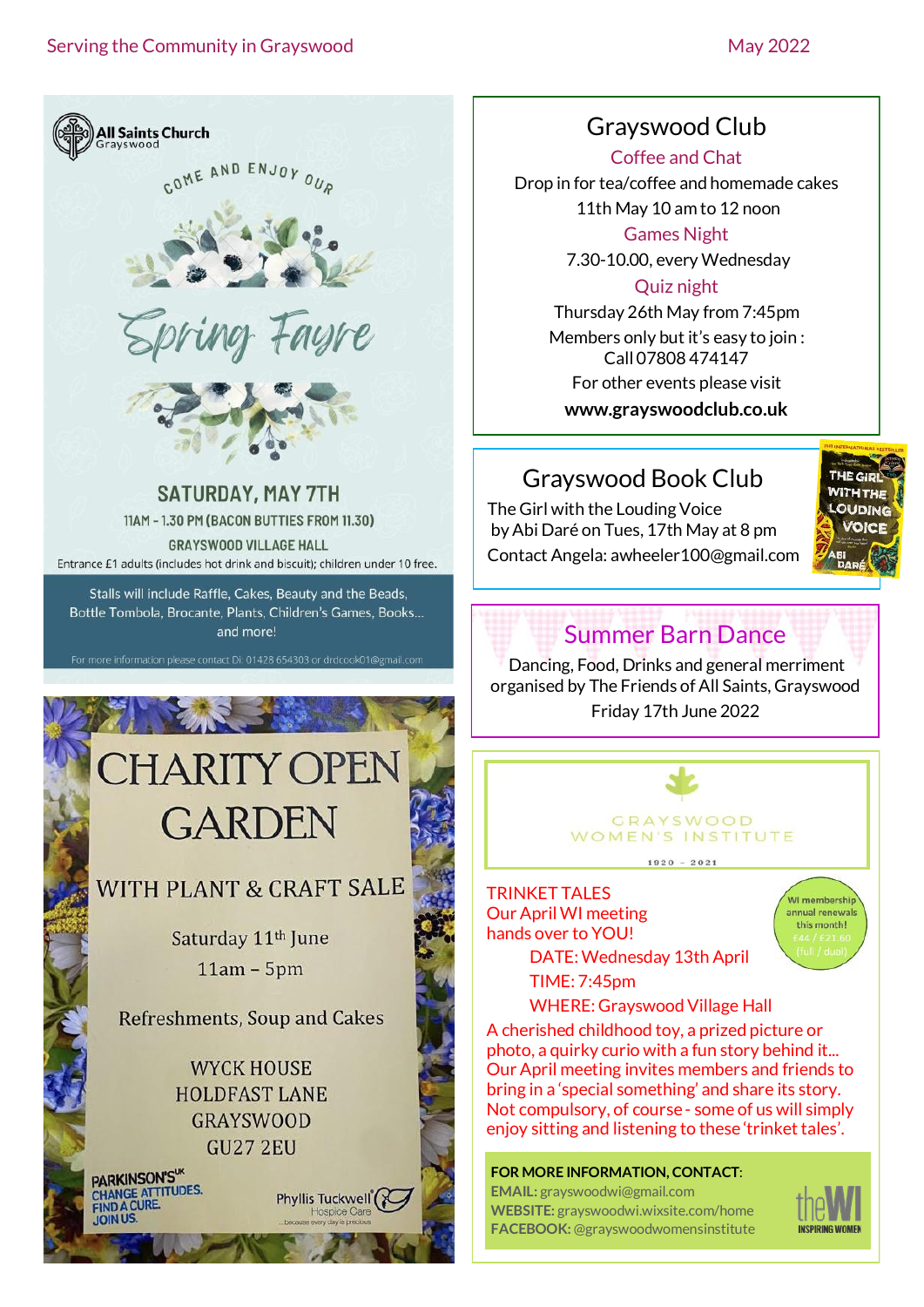

### Grayswood Club

Coffee and Chat

Drop in for tea/coffee and homemade cakes 11th May 10 am to 12 noon

Games Night

7.30-10.00, every Wednesday

#### Quiz night

Thursday 26th May from 7:45pm Members only but it's easy to join : Call 07808 474147 For other events please visit **www.grayswoodclub.co.uk**

### Grayswood Book Club

The Girl with the Louding Voice by Abi Daré on Tues, 17th May at 8 pm Contact Angela: awheeler100@gmail.com



### Summer Barn Dance

Dancing, Food, Drinks and general merriment organised by The Friends of All Saints, Grayswood Friday 17th June 2022



TRINKET TALES Our April WI meeting hands over to YOU!

.<br>WI membershir annual renewals this month!

DATE:Wednesday 13th April TIME: 7:45pm

WHERE: Grayswood Village Hall A cherished childhood toy, a prized picture or photo, a quirky curio with a fun story behind it... Our April meeting invites members and friends to bring in a 'special something' and share its story. Not compulsory, of course - some of us will simply enjoy sitting and listening to these 'trinket tales'.

**FOR MORE INFORMATION, CONTACT**: **EMAIL:** grayswoodwi@gmail.com **WEBSITE:** grayswoodwi.wixsite.com/home